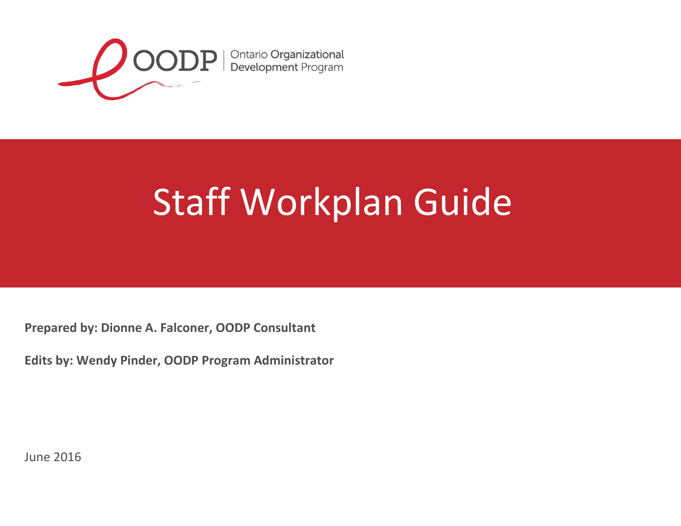

## Staff Workplan Guide

**Prepared by: Dionne A. Falconer, OODP Consultant**

**Edits by: Wendy Pinder, OODP Program Administrator**

June 2016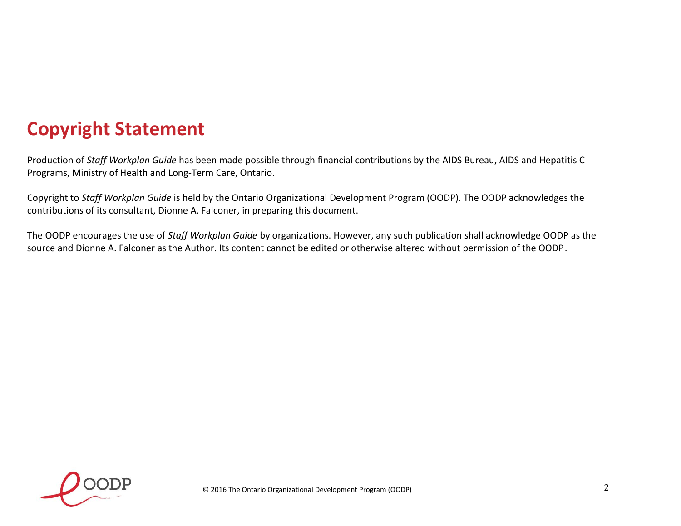## **Copyright Statement**

Production of *Staff Workplan Guide* has been made possible through financial contributions by the AIDS Bureau, AIDS and Hepatitis C Programs, Ministry of Health and Long-Term Care, Ontario.

Copyright to *Staff Workplan Guide* is held by the Ontario Organizational Development Program (OODP). The OODP acknowledges the contributions of its consultant, Dionne A. Falconer, in preparing this document.

The OODP encourages the use of *Staff Workplan Guide* by organizations. However, any such publication shall acknowledge OODP as the source and Dionne A. Falconer as the Author. Its content cannot be edited or otherwise altered without permission of the OODP.

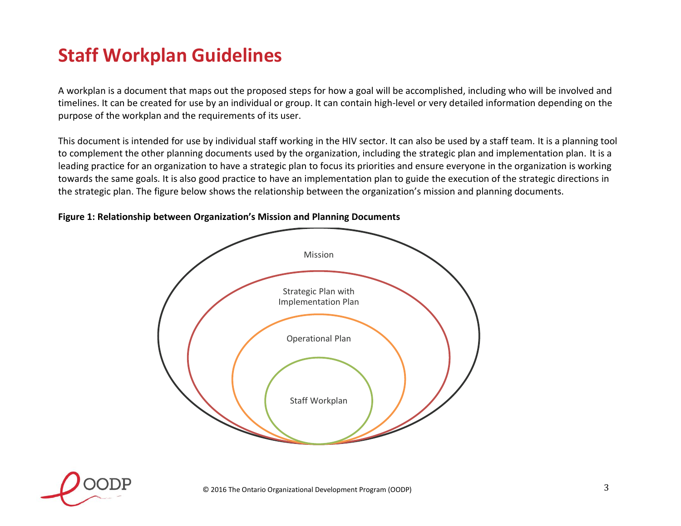## **Staff Workplan Guidelines**

A workplan is a document that maps out the proposed steps for how a goal will be accomplished, including who will be involved and timelines. It can be created for use by an individual or group. It can contain high-level or very detailed information depending on the purpose of the workplan and the requirements of its user.

This document is intended for use by individual staff working in the HIV sector. It can also be used by a staff team. It is a planning tool to complement the other planning documents used by the organization, including the strategic plan and implementation plan. It is a leading practice for an organization to have a strategic plan to focus its priorities and ensure everyone in the organization is working towards the same goals. It is also good practice to have an implementation plan to guide the execution of the strategic directions in the strategic plan. The figure below shows the relationship between the organization's mission and planning documents.

# Mission Strategic Plan with Implementation Plan Operational Plan Staff Workplan

### **Figure 1: Relationship between Organization's Mission and Planning Documents**

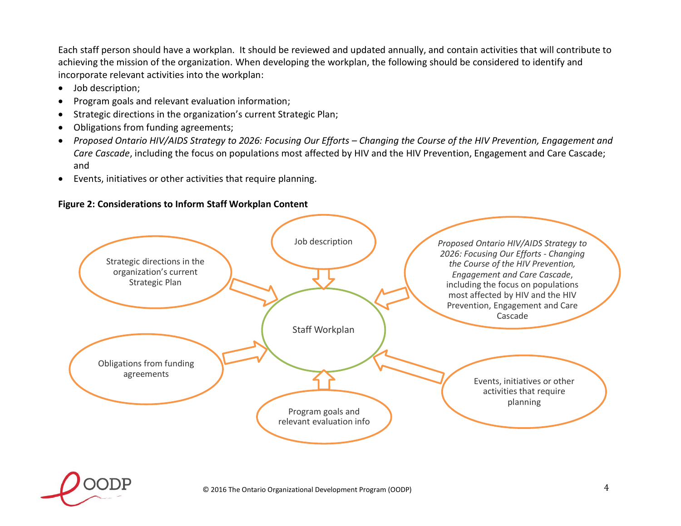Each staff person should have a workplan. It should be reviewed and updated annually, and contain activities that will contribute to achieving the mission of the organization. When developing the workplan, the following should be considered to identify and incorporate relevant activities into the workplan:

- Job description;
- Program goals and relevant evaluation information;
- Strategic directions in the organization's current Strategic Plan;
- Obligations from funding agreements;
- *Proposed Ontario HIV/AIDS Strategy to 2026: Focusing Our Efforts – Changing the Course of the HIV Prevention, Engagement and Care Cascade*, including the focus on populations most affected by HIV and the HIV Prevention, Engagement and Care Cascade; and
- Events, initiatives or other activities that require planning.

#### **Figure 2: Considerations to Inform Staff Workplan Content**



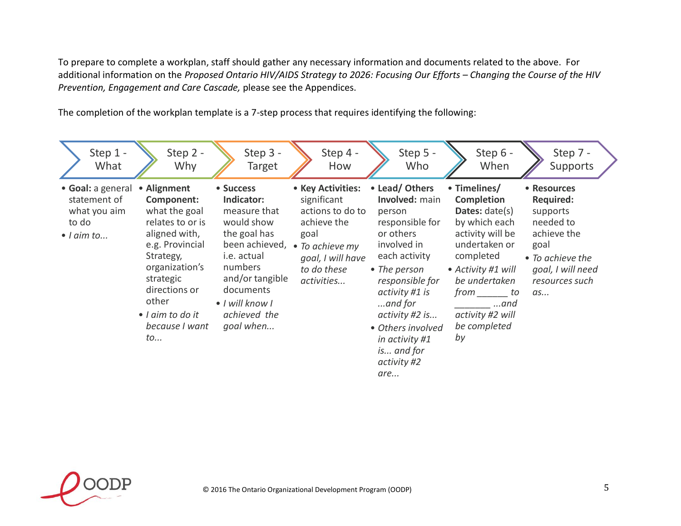To prepare to complete a workplan, staff should gather any necessary information and documents related to the above. For additional information on the *Proposed Ontario HIV/AIDS Strategy to 2026: Focusing Our Efforts – Changing the Course of the HIV Prevention, Engagement and Care Cascade,* please see the Appendices.

The completion of the workplan template is a 7-step process that requires identifying the following:

|                             | Step 1 -<br>What                                  |             | Step 2 -<br>Why                                                                                                                                                                                       |           | Step 3 -<br><b>Target</b>                                                                                                                                                            |      | Step 4 -<br>How                                                                                                                          | Step 5 -<br>Who                                                                                                                                                                                                                                                            |    | Step 6 -<br>When                                                                                                                                                                                                                |            | Step 7 -<br>Supports                                                                                                               |  |
|-----------------------------|---------------------------------------------------|-------------|-------------------------------------------------------------------------------------------------------------------------------------------------------------------------------------------------------|-----------|--------------------------------------------------------------------------------------------------------------------------------------------------------------------------------------|------|------------------------------------------------------------------------------------------------------------------------------------------|----------------------------------------------------------------------------------------------------------------------------------------------------------------------------------------------------------------------------------------------------------------------------|----|---------------------------------------------------------------------------------------------------------------------------------------------------------------------------------------------------------------------------------|------------|------------------------------------------------------------------------------------------------------------------------------------|--|
| to do<br>$\bullet$   aim to | • Goal: a general<br>statement of<br>what you aim | other<br>to | • Alignment<br>Component:<br>what the goal<br>relates to or is<br>aligned with,<br>e.g. Provincial<br>Strategy,<br>organization's<br>strategic<br>directions or<br>• I aim to do it<br>because I want | • Success | Indicator:<br>measure that<br>would show<br>the goal has<br>been achieved,<br>i.e. actual<br>numbers<br>and/or tangible<br>documents<br>• I will know I<br>achieved the<br>goal when | goal | • Key Activities:<br>significant<br>actions to do to<br>achieve the<br>• To achieve my<br>goal, I will have<br>to do these<br>activities | • Lead/ Others<br>Involved: main<br>person<br>responsible for<br>or others<br>involved in<br>each activity<br>• The person<br>responsible for<br>activity #1 is<br>$$ and for<br>activity #2 is<br>• Others involved<br>in activity #1<br>is and for<br>activity #2<br>are | by | • Timelines/<br><b>Completion</b><br><b>Dates:</b> $date(s)$<br>by which each<br>activity will be<br>undertaken or<br>completed<br>• Activity #1 will<br>be undertaken<br>from to<br>$$ and<br>activity #2 will<br>be completed | goal<br>as | • Resources<br><b>Required:</b><br>supports<br>needed to<br>achieve the<br>• To achieve the<br>goal, I will need<br>resources such |  |

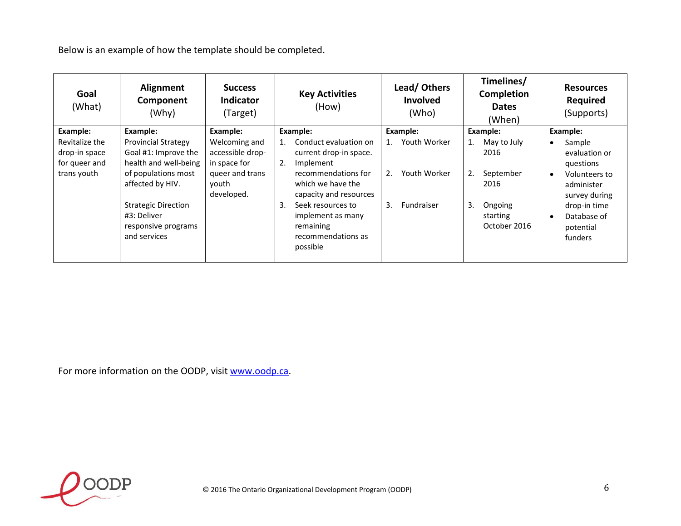Below is an example of how the template should be completed.

| Goal<br>(What)                                                  | Alignment<br>Component<br>(Why)                                                                                                                                     | <b>Success</b><br><b>Indicator</b><br>(Target)                                              | <b>Key Activities</b><br>(How)                                                                                                                                                           | Lead/Others<br><b>Involved</b><br>(Who)                      | Timelines/<br>Completion<br><b>Dates</b><br>(When)                                | <b>Resources</b><br><b>Required</b><br>(Supports)                                                                                |
|-----------------------------------------------------------------|---------------------------------------------------------------------------------------------------------------------------------------------------------------------|---------------------------------------------------------------------------------------------|------------------------------------------------------------------------------------------------------------------------------------------------------------------------------------------|--------------------------------------------------------------|-----------------------------------------------------------------------------------|----------------------------------------------------------------------------------------------------------------------------------|
| Example:                                                        | Example:                                                                                                                                                            | Example:                                                                                    | Example:                                                                                                                                                                                 | Example:                                                     | Example:                                                                          | Example:                                                                                                                         |
| Revitalize the<br>drop-in space<br>for queer and<br>trans youth | <b>Provincial Strategy</b><br>Goal #1: Improve the<br>health and well-being<br>of populations most<br>affected by HIV.<br><b>Strategic Direction</b><br>#3: Deliver | Welcoming and<br>accessible drop-<br>in space for<br>queer and trans<br>youth<br>developed. | Conduct evaluation on<br>current drop-in space.<br>2.<br>Implement<br>recommendations for<br>which we have the<br>capacity and resources<br>3.<br>Seek resources to<br>implement as many | Youth Worker<br>1.<br>Youth Worker<br>2.<br>3.<br>Fundraiser | May to July<br>1.<br>2016<br>2.<br>September<br>2016<br>3.<br>Ongoing<br>starting | Sample<br>evaluation or<br>questions<br>Volunteers to<br>$\bullet$<br>administer<br>survey during<br>drop-in time<br>Database of |
|                                                                 | responsive programs<br>and services                                                                                                                                 |                                                                                             | remaining<br>recommendations as<br>possible                                                                                                                                              |                                                              | October 2016                                                                      | potential<br>funders                                                                                                             |

For more information on the OODP, visit [www.oodp.ca.](http://www.oodp.ca/)

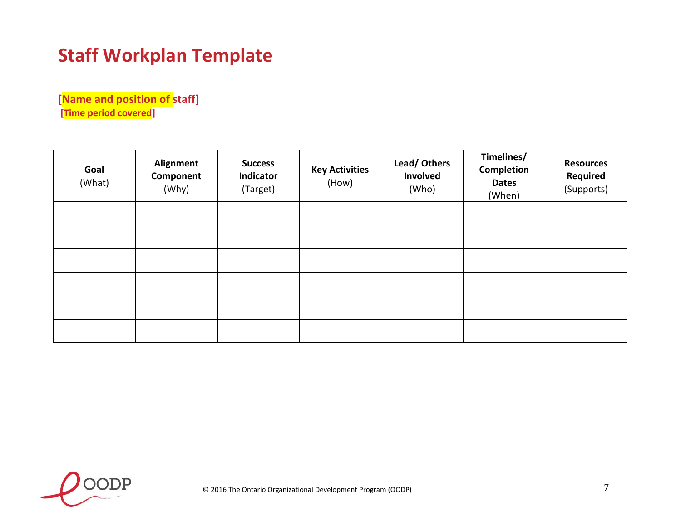## **Staff Workplan Template**

**[Name and position of staff] [Time period covered]** 

| Goal<br>(What) | Alignment<br>Component<br>(Why) | <b>Success</b><br>Indicator<br>(Target) | <b>Key Activities</b><br>(How) | Lead/Others<br>Involved<br>(Who) | Timelines/<br>Completion<br><b>Dates</b><br>(When) | <b>Resources</b><br><b>Required</b><br>(Supports) |
|----------------|---------------------------------|-----------------------------------------|--------------------------------|----------------------------------|----------------------------------------------------|---------------------------------------------------|
|                |                                 |                                         |                                |                                  |                                                    |                                                   |
|                |                                 |                                         |                                |                                  |                                                    |                                                   |
|                |                                 |                                         |                                |                                  |                                                    |                                                   |
|                |                                 |                                         |                                |                                  |                                                    |                                                   |
|                |                                 |                                         |                                |                                  |                                                    |                                                   |
|                |                                 |                                         |                                |                                  |                                                    |                                                   |

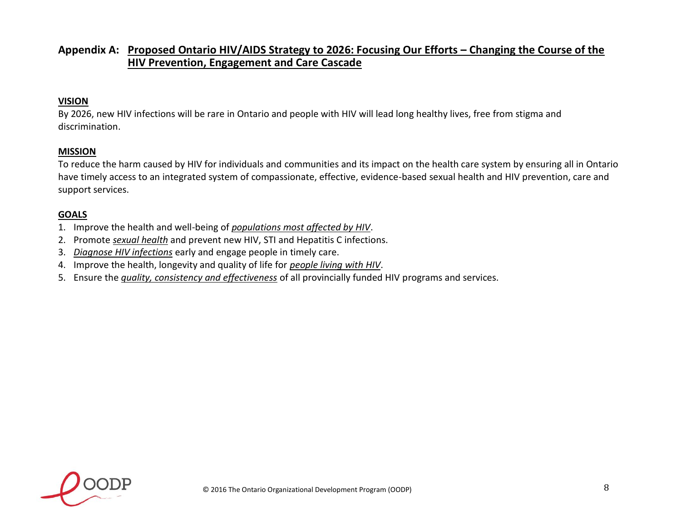## **Appendix A: Proposed Ontario HIV/AIDS Strategy to 2026: Focusing Our Efforts – Changing the Course of the HIV Prevention, Engagement and Care Cascade**

## **VISION**

By 2026, new HIV infections will be rare in Ontario and people with HIV will lead long healthy lives, free from stigma and discrimination.

#### **MISSION**

To reduce the harm caused by HIV for individuals and communities and its impact on the health care system by ensuring all in Ontario have timely access to an integrated system of compassionate, effective, evidence-based sexual health and HIV prevention, care and support services.

#### **GOALS**

- 1. Improve the health and well-being of *populations most affected by HIV*.
- 2. Promote *sexual health* and prevent new HIV, STI and Hepatitis C infections.
- 3. *Diagnose HIV infections* early and engage people in timely care.
- 4. Improve the health, longevity and quality of life for *people living with HIV*.
- 5. Ensure the *quality, consistency and effectiveness* of all provincially funded HIV programs and services.

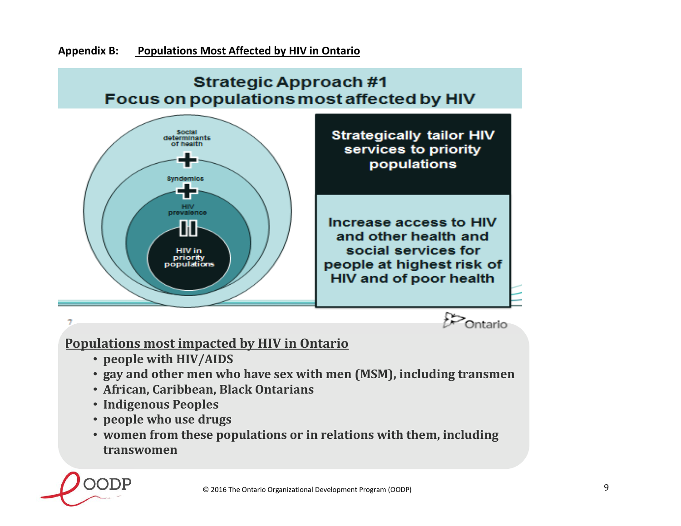

- **Indigenous Peoples**
- **people who use drugs**
- **women from these populations or in relations with them, including transwomen**